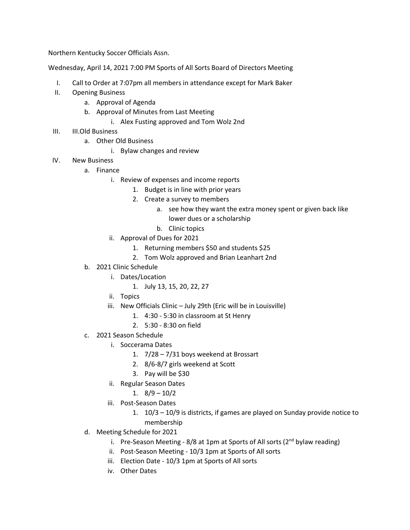Northern Kentucky Soccer Officials Assn.

Wednesday, April 14, 2021 7:00 PM Sports of All Sorts Board of Directors Meeting

- I. Call to Order at 7:07pm all members in attendance except for Mark Baker
- II. Opening Business
	- a. Approval of Agenda
	- b. Approval of Minutes from Last Meeting
		- i. Alex Fusting approved and Tom Wolz 2nd
- III. III.Old Business
	- a. Other Old Business
		- i. Bylaw changes and review
- IV. New Business
	- a. Finance
		- i. Review of expenses and income reports
			- 1. Budget is in line with prior years
			- 2. Create a survey to members
				- a. see how they want the extra money spent or given back like lower dues or a scholarship
				- b. Clinic topics
		- ii. Approval of Dues for 2021
			- 1. Returning members \$50 and students \$25
			- 2. Tom Wolz approved and Brian Leanhart 2nd
	- b. 2021 Clinic Schedule
		- i. Dates/Location
			- 1. July 13, 15, 20, 22, 27
		- ii. Topics
		- iii. New Officials Clinic July 29th (Eric will be in Louisville)
			- 1. 4:30 5:30 in classroom at St Henry
			- 2. 5:30 8:30 on field
	- c. 2021 Season Schedule
		- i. Soccerama Dates
			- 1. 7/28 7/31 boys weekend at Brossart
			- 2. 8/6-8/7 girls weekend at Scott
			- 3. Pay will be \$30
		- ii. Regular Season Dates
			- 1.  $8/9 10/2$
		- iii. Post-Season Dates
			- 1. 10/3 10/9 is districts, if games are played on Sunday provide notice to membership
	- d. Meeting Schedule for 2021
		- i. Pre-Season Meeting  $8/8$  at 1pm at Sports of All sorts ( $2<sup>nd</sup>$  bylaw reading)
		- ii. Post-Season Meeting 10/3 1pm at Sports of All sorts
		- iii. Election Date 10/3 1pm at Sports of All sorts
		- iv. Other Dates